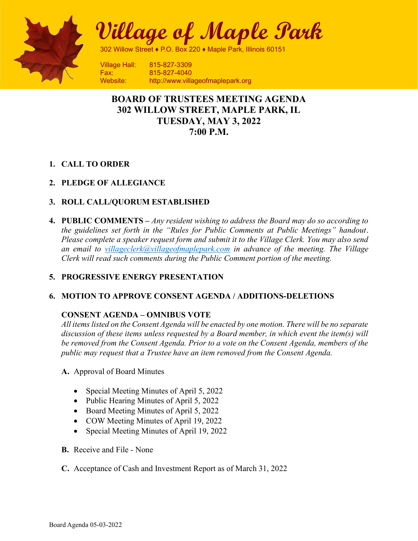

Village of Maple Park

302 Willow Street ♦ P.O. Box 220 ♦ Maple Park, Illinois 60151

**Village Hall: 815-827-3309** Fax: 815-827-4040 Website: http://www.villageofmaplepark.org

# BOARD OF TRUSTEES MEETING AGENDA 302 WILLOW STREET, MAPLE PARK, IL TUESDAY, MAY 3, 2022 7:00 P.M.

## 1. CALL TO ORDER

## 2. PLEDGE OF ALLEGIANCE

## 3. ROLL CALL/QUORUM ESTABLISHED

4. PUBLIC COMMENTS – Any resident wishing to address the Board may do so according to the guidelines set forth in the "Rules for Public Comments at Public Meetings" handout. Please complete a speaker request form and submit it to the Village Clerk. You may also send an email to villageclerk@villageofmaplepark.com in advance of the meeting. The Village Clerk will read such comments during the Public Comment portion of the meeting.

## 5. PROGRESSIVE ENERGY PRESENTATION

## 6. MOTION TO APPROVE CONSENT AGENDA / ADDITIONS-DELETIONS

## CONSENT AGENDA – OMNIBUS VOTE

All items listed on the Consent Agenda will be enacted by one motion. There will be no separate discussion of these items unless requested by a Board member, in which event the item(s) will be removed from the Consent Agenda. Prior to a vote on the Consent Agenda, members of the public may request that a Trustee have an item removed from the Consent Agenda.

- A. Approval of Board Minutes
	- Special Meeting Minutes of April 5, 2022
	- Public Hearing Minutes of April 5, 2022
	- Board Meeting Minutes of April 5, 2022
	- COW Meeting Minutes of April 19, 2022
	- Special Meeting Minutes of April 19, 2022
- B. Receive and File None
- C. Acceptance of Cash and Investment Report as of March 31, 2022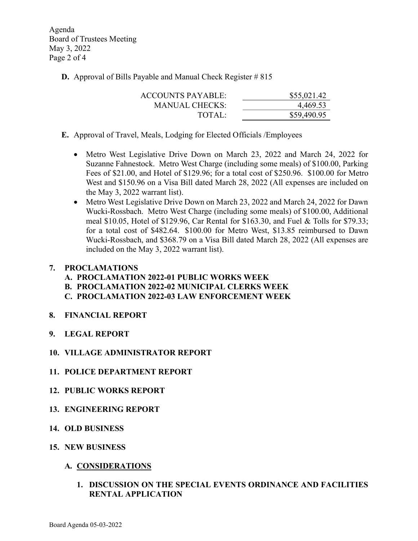Agenda Board of Trustees Meeting May 3, 2022 Page 2 of 4

**D.** Approval of Bills Payable and Manual Check Register # 815

| <b>ACCOUNTS PAYABLE:</b> | \$55,021.42 |
|--------------------------|-------------|
| MANUAL CHECKS:           | 4,469.53    |
| TOTAI:                   | \$59,490.95 |

- E. Approval of Travel, Meals, Lodging for Elected Officials /Employees
	- Metro West Legislative Drive Down on March 23, 2022 and March 24, 2022 for Suzanne Fahnestock. Metro West Charge (including some meals) of \$100.00, Parking Fees of \$21.00, and Hotel of \$129.96; for a total cost of \$250.96. \$100.00 for Metro West and \$150.96 on a Visa Bill dated March 28, 2022 (All expenses are included on the May 3, 2022 warrant list).
	- Metro West Legislative Drive Down on March 23, 2022 and March 24, 2022 for Dawn Wucki-Rossbach. Metro West Charge (including some meals) of \$100.00, Additional meal \$10.05, Hotel of \$129.96, Car Rental for \$163.30, and Fuel & Tolls for \$79.33; for a total cost of \$482.64. \$100.00 for Metro West, \$13.85 reimbursed to Dawn Wucki-Rossbach, and \$368.79 on a Visa Bill dated March 28, 2022 (All expenses are included on the May 3, 2022 warrant list).

#### 7. PROCLAMATIONS

- A. PROCLAMATION 2022-01 PUBLIC WORKS WEEK
- B. PROCLAMATION 2022-02 MUNICIPAL CLERKS WEEK
- C. PROCLAMATION 2022-03 LAW ENFORCEMENT WEEK
- 8. FINANCIAL REPORT
- 9. LEGAL REPORT
- 10. VILLAGE ADMINISTRATOR REPORT
- 11. POLICE DEPARTMENT REPORT
- 12. PUBLIC WORKS REPORT
- 13. ENGINEERING REPORT
- 14. OLD BUSINESS
- 15. NEW BUSINESS
	- A. CONSIDERATIONS
		- 1. DISCUSSION ON THE SPECIAL EVENTS ORDINANCE AND FACILITIES RENTAL APPLICATION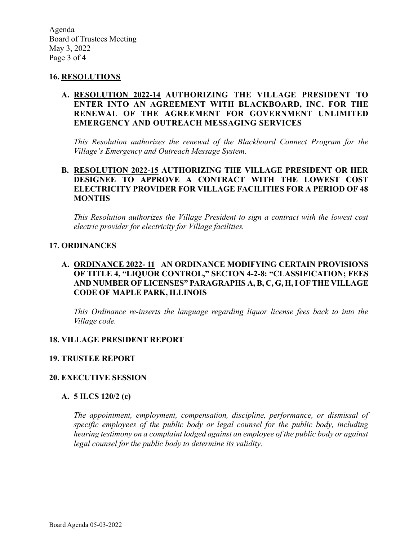Agenda Board of Trustees Meeting May 3, 2022 Page 3 of 4

#### 16. RESOLUTIONS

### A. RESOLUTION 2022-14 AUTHORIZING THE VILLAGE PRESIDENT TO ENTER INTO AN AGREEMENT WITH BLACKBOARD, INC. FOR THE RENEWAL OF THE AGREEMENT FOR GOVERNMENT UNLIMITED EMERGENCY AND OUTREACH MESSAGING SERVICES

This Resolution authorizes the renewal of the Blackboard Connect Program for the Village's Emergency and Outreach Message System.

### B. RESOLUTION 2022-15 AUTHORIZING THE VILLAGE PRESIDENT OR HER DESIGNEE TO APPROVE A CONTRACT WITH THE LOWEST COST ELECTRICITY PROVIDER FOR VILLAGE FACILITIES FOR A PERIOD OF 48 **MONTHS**

This Resolution authorizes the Village President to sign a contract with the lowest cost electric provider for electricity for Village facilities.

### 17. ORDINANCES

### A. ORDINANCE 2022- 11 AN ORDINANCE MODIFYING CERTAIN PROVISIONS OF TITLE 4, "LIQUOR CONTROL," SECTON 4-2-8: "CLASSIFICATION; FEES AND NUMBER OF LICENSES" PARAGRAPHS A, B, C, G, H,I OF THE VILLAGE CODE OF MAPLE PARK, ILLINOIS

This Ordinance re-inserts the language regarding liquor license fees back to into the Village code.

#### 18. VILLAGE PRESIDENT REPORT

#### 19. TRUSTEE REPORT

#### 20. EXECUTIVE SESSION

#### A. 5 ILCS 120/2 (c)

The appointment, employment, compensation, discipline, performance, or dismissal of specific employees of the public body or legal counsel for the public body, including hearing testimony on a complaint lodged against an employee of the public body or against legal counsel for the public body to determine its validity.